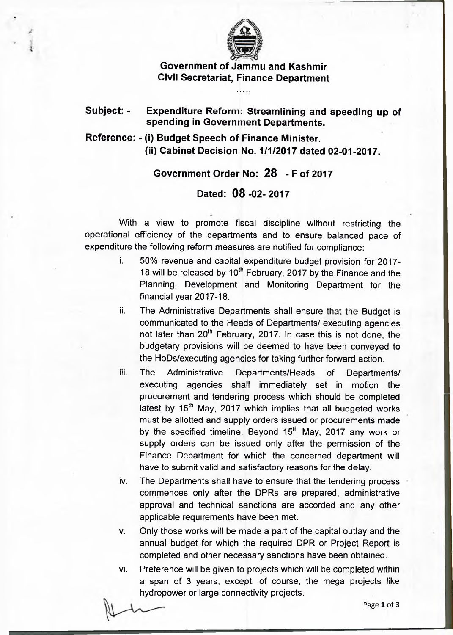

**Government of Jammu and Kashmir Civil Secretariat, Finance Department**

## **Subject: - Expenditure Reform: Streamlining and speeding up of spending in Government Departments.**

## **Reference: - (i) Budget Speech of Finance Minister. (ii) Cabinet Decision No. 1/1/2017 dated 02-01-2017.**

## **Government Order No: 28 - F of 2017**

## **Dated: 08 -02-2017**

With a view to promote fiscal discipline without restricting the operational efficiency of the departments and to ensure balanced pace of expenditure the following reform measures are notified for compliance:

- i. 50% revenue and capital expenditure budget provision for 2017- 18 will be released by  $10^{th}$  February, 2017 by the Finance and the Planning, Development and Monitoring Department for the financial year 2017-18.
- ii. The Administrative Departments shall ensure that the Budget is communicated to the Heads of Departments/ executing agencies not later than 20<sup>th</sup> February, 2017. In case this is not done, the budgetary provisions will be deemed to have been conveyed to the HoDs/executing agencies for taking further forward action.
- iii. The Administrative Departments/Heads of Departments/ executing agencies shall immediately set in motion the procurement and tendering process which should be completed latest by  $15<sup>th</sup>$  May, 2017 which implies that all budgeted works must be allotted and supply orders issued or procurements made by the specified timeline. Beyond  $15<sup>th</sup>$  May, 2017 any work or supply orders can be issued only after the permission of the Finance Department for which the concerned department will have to submit valid and satisfactory reasons for the delay.
- iv. The Departments shall have to ensure that the tendering process commences only after the DPRs are prepared, administrative approval and technical sanctions are accorded and any other applicable requirements have been met.
- v. Only those works will be made a part of the capital outlay and the annual budget for which the required DPR or Project Report is completed and other necessary sanctions have been obtained.
- vi. Preference will be given to projects which will be completed within a span of 3 years, except, of course, the mega projects like hydropower or large connectivity projects.

Page 1 of 3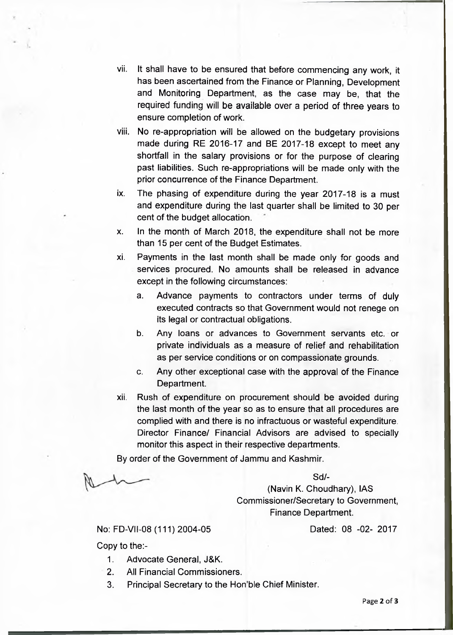- vii. It shall have to be ensured that before commencing any work, it has been ascertained from the Finance or Planning, Development and Monitoring Department, as the case may be, that the required funding will be available over a period of three years to ensure completion of work.
- viii. No re-appropriation will be allowed on the budgetary provisions made during RE 2016-17 and BE 2017-18 except to meet any shortfall in the salary provisions or for the purpose of clearing past liabilities. Such re-appropriations will be made only with the prior concurrence of the Finance Department.
- ix. The phasing of expenditure during the year 2017-18 is a must and expenditure during the last quarter shall be limited to 30 per cent of the budget allocation.
- x. In the month of March 2018, the expenditure shall not be more than 15 per cent of the Budget Estimates.
- xi. Payments in the last month shall be made only for goods and services procured. No amounts shall be released in advance except in the following circumstances:
	- a. Advance payments to contractors under terms of duly executed contracts so that Government would not renege on its legal or contractual obligations.
	- b. Any loans or advances to Government servants etc. or private individuals as a measure of relief and rehabilitation as per service conditions or on compassionate grounds.
	- c. Any other exceptional case with the approval of the Finance Department.
- xii. Rush of expenditure on procurement should be avoided during the last month of the year so as to ensure that all procedures are complied with and there is no infractuous or wasteful expenditure. Director Finance/ Financial Advisors are advised to specially monitor this aspect in their respective departments.

By order of the Government of Jammu and Kashmir.

 $Sd$ -

(Navin K. Choudhary), IAS Commissioner/Secretary to Government, Finance Department.

No: FD-VII-08 (111) 2004-05 Dated: 08 -02- 2017

Copy to the:-

- 1. Advocate General, J&K.
- 2. All Financial Commissioners.
- 3. Principal Secretary to the Hon'ble Chief Minister.